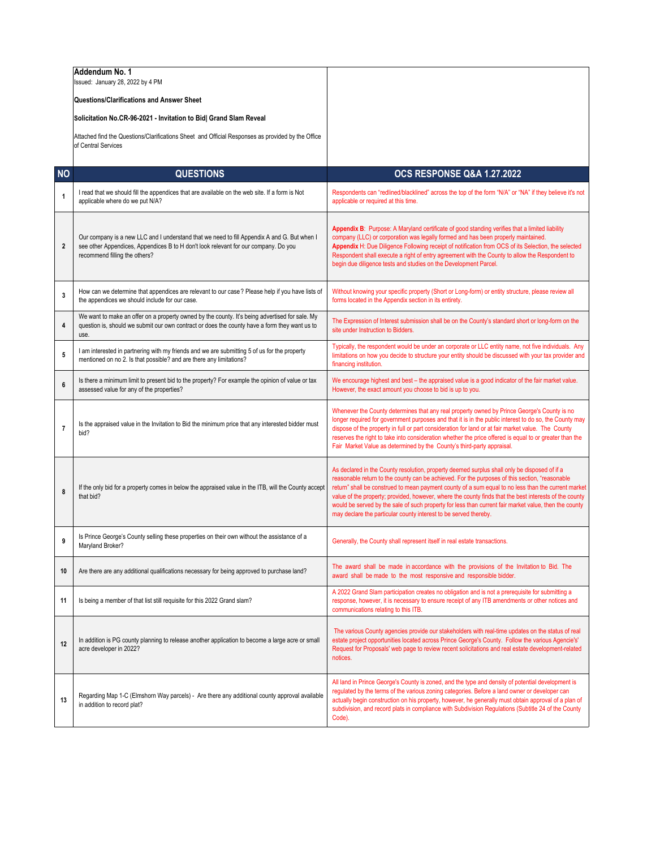|                  | Addendum No. 1<br>Issued: January 28, 2022 by 4 PM                                                                                                                                                                  |                                                                                                                                                                                                                                                                                                                                                                                                                                                                                                                                                                                              |
|------------------|---------------------------------------------------------------------------------------------------------------------------------------------------------------------------------------------------------------------|----------------------------------------------------------------------------------------------------------------------------------------------------------------------------------------------------------------------------------------------------------------------------------------------------------------------------------------------------------------------------------------------------------------------------------------------------------------------------------------------------------------------------------------------------------------------------------------------|
|                  | Questions/Clarifications and Answer Sheet                                                                                                                                                                           |                                                                                                                                                                                                                                                                                                                                                                                                                                                                                                                                                                                              |
|                  | Solicitation No.CR-96-2021 - Invitation to Bid  Grand Slam Reveal                                                                                                                                                   |                                                                                                                                                                                                                                                                                                                                                                                                                                                                                                                                                                                              |
|                  | Attached find the Questions/Clarifications Sheet and Official Responses as provided by the Office<br>of Central Services                                                                                            |                                                                                                                                                                                                                                                                                                                                                                                                                                                                                                                                                                                              |
| <b>NO</b>        | <b>QUESTIONS</b>                                                                                                                                                                                                    | <b>OCS RESPONSE Q&amp;A 1.27.2022</b>                                                                                                                                                                                                                                                                                                                                                                                                                                                                                                                                                        |
|                  | I read that we should fill the appendices that are available on the web site. If a form is Not                                                                                                                      | Respondents can "redlined/blacklined" across the top of the form "N/A" or "NA" if they believe it's not                                                                                                                                                                                                                                                                                                                                                                                                                                                                                      |
| $\mathbf{1}$     | applicable where do we put N/A?                                                                                                                                                                                     | applicable or required at this time.                                                                                                                                                                                                                                                                                                                                                                                                                                                                                                                                                         |
| $\boldsymbol{2}$ | Our company is a new LLC and I understand that we need to fill Appendix A and G. But when I<br>see other Appendices, Appendices B to H don't look relevant for our company. Do you<br>recommend filling the others? | Appendix B: Purpose: A Maryland certificate of good standing verifies that a limited liability<br>company (LLC) or corporation was legally formed and has been properly maintained.<br>Appendix H: Due Diligence Following receipt of notification from OCS of its Selection, the selected<br>Respondent shall execute a right of entry agreement with the County to allow the Respondent to<br>begin due diligence tests and studies on the Development Parcel.                                                                                                                             |
| 3                | How can we determine that appendices are relevant to our case? Please help if you have lists of<br>the appendices we should include for our case.                                                                   | Without knowing your specific property (Short or Long-form) or entity structure, please review all<br>forms located in the Appendix section in its entirety.                                                                                                                                                                                                                                                                                                                                                                                                                                 |
| 4                | We want to make an offer on a property owned by the county. It's being advertised for sale. My<br>question is, should we submit our own contract or does the county have a form they want us to<br>use.             | The Expression of Interest submission shall be on the County's standard short or long-form on the<br>site under Instruction to Bidders.                                                                                                                                                                                                                                                                                                                                                                                                                                                      |
| 5                | I am interested in partnering with my friends and we are submitting 5 of us for the property<br>mentioned on no 2. Is that possible? and are there any limitations?                                                 | Typically, the respondent would be under an corporate or LLC entity name, not five individuals. Any<br>limitations on how you decide to structure your entity should be discussed with your tax provider and<br>financing institution.                                                                                                                                                                                                                                                                                                                                                       |
| 6                | Is there a minimum limit to present bid to the property? For example the opinion of value or tax<br>assessed value for any of the properties?                                                                       | We encourage highest and best - the appraised value is a good indicator of the fair market value.<br>However, the exact amount you choose to bid is up to you.                                                                                                                                                                                                                                                                                                                                                                                                                               |
| $\overline{7}$   | Is the appraised value in the Invitation to Bid the minimum price that any interested bidder must<br>bid?                                                                                                           | Whenever the County determines that any real property owned by Prince George's County is no<br>longer required for government purposes and that it is in the public interest to do so, the County may<br>dispose of the property in full or part consideration for land or at fair market value. The County<br>reserves the right to take into consideration whether the price offered is equal to or greater than the<br>Fair Market Value as determined by the County's third-party appraisal.                                                                                             |
| 8                | If the only bid for a property comes in below the appraised value in the ITB, will the County accept<br>that bid?                                                                                                   | As declared in the County resolution, property deemed surplus shall only be disposed of if a<br>reasonable return to the county can be achieved. For the purposes of this section, "reasonable<br>return" shall be construed to mean payment county of a sum equal to no less than the current market<br>value of the property; provided, however, where the county finds that the best interests of the county<br>would be served by the sale of such property for less than current fair market value, then the county<br>may declare the particular county interest to be served thereby. |
| 9                | Is Prince George's County selling these properties on their own without the assistance of a<br>Maryland Broker?                                                                                                     | Generally, the County shall represent itself in real estate transactions.                                                                                                                                                                                                                                                                                                                                                                                                                                                                                                                    |
| 10               | Are there are any additional qualifications necessary for being approved to purchase land?                                                                                                                          | The award shall be made in accordance with the provisions of the Invitation to Bid. The<br>award shall be made to the most responsive and responsible bidder.                                                                                                                                                                                                                                                                                                                                                                                                                                |
| 11               | Is being a member of that list still requisite for this 2022 Grand slam?                                                                                                                                            | A 2022 Grand Slam participation creates no obligation and is not a prerequisite for submitting a<br>response, however, it is necessary to ensure receipt of any ITB amendments or other notices and<br>communications relating to this ITB.                                                                                                                                                                                                                                                                                                                                                  |
| 12               | In addition is PG county planning to release another application to become a large acre or small<br>acre developer in 2022?                                                                                         | The various County agencies provide our stakeholders with real-time updates on the status of real<br>estate project opportunities located across Prince George's County. Follow the various Agencie's'<br>Request for Proposals' web page to review recent solicitations and real estate development-related<br>notices.                                                                                                                                                                                                                                                                     |
| 13               | Regarding Map 1-C (Elmshorn Way parcels) - Are there any additional county approval available<br>in addition to record plat?                                                                                        | All land in Prince George's County is zoned, and the type and density of potential development is<br>regulated by the terms of the various zoning categories. Before a land owner or developer can<br>actually begin construction on his property, however, he generally must obtain approval of a plan of<br>subdivision, and record plats in compliance with Subdivision Regulations (Subtitle 24 of the County<br>Code).                                                                                                                                                                  |